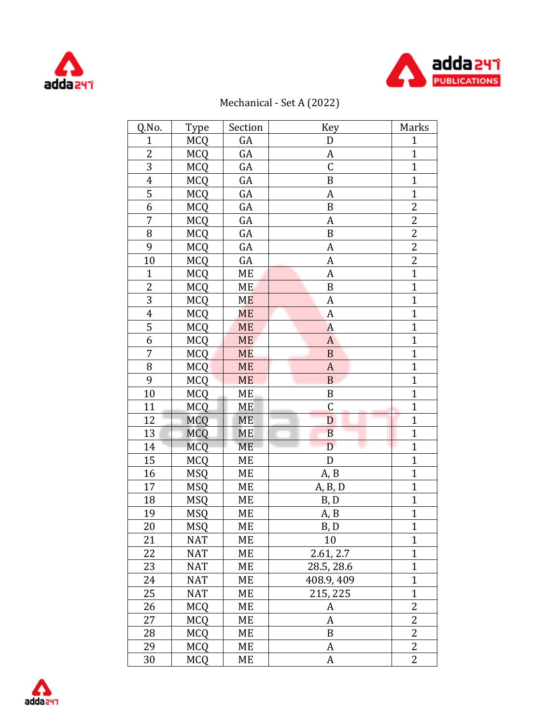



## Mechanical - Set A (2022)

| Q.No.          | Type       | Section   | <b>Key</b>       | Marks          |
|----------------|------------|-----------|------------------|----------------|
| $\mathbf{1}$   | <b>MCQ</b> | GA        | D                | $\mathbf{1}$   |
| $\overline{2}$ | <b>MCQ</b> | GA        | A                | $\mathbf{1}$   |
| 3              | MCQ        | GA        | $\mathsf C$      | $\overline{1}$ |
| $\overline{4}$ | <b>MCQ</b> | GA        | $\boldsymbol{B}$ | $\overline{1}$ |
| 5              | <b>MCQ</b> | GA        | A                | $\mathbf{1}$   |
| 6              | <b>MCQ</b> | GA        | B                | $\overline{c}$ |
| $\overline{7}$ | <b>MCQ</b> | GA        | $\boldsymbol{A}$ | $\overline{2}$ |
| $\, 8$         | MCQ        | GA        | B                | $\overline{c}$ |
| 9              | MCQ        | GA        | $\boldsymbol{A}$ | $\overline{2}$ |
| 10             | <b>MCQ</b> | GA        | A                | $\overline{c}$ |
| $\mathbf{1}$   | <b>MCQ</b> | ME        | A                | $\overline{1}$ |
| $\overline{c}$ | <b>MCQ</b> | ME        | $\, {\bf B}$     | $\mathbf{1}$   |
| 3              | MCQ        | <b>ME</b> | A                | $\overline{1}$ |
| $\overline{4}$ | <b>MCQ</b> | <b>ME</b> | A                | $\overline{1}$ |
| $\overline{5}$ | <b>MCQ</b> | <b>ME</b> | $\overline{A}$   | $\overline{1}$ |
| $\overline{6}$ | <b>MCQ</b> | <b>ME</b> | $\boldsymbol{A}$ | $\overline{1}$ |
| 7              | <b>MCQ</b> | <b>ME</b> | $\, {\bf B}$     | $\overline{1}$ |
| 8              | <b>MCQ</b> | $ME$      | $\boldsymbol{A}$ | $\overline{1}$ |
| 9              | <b>MCQ</b> | <b>ME</b> | $\mathbf B$      | $\mathbf{1}$   |
| 10             | <b>MCQ</b> | ME.       | B                | $\overline{1}$ |
| 11             | <b>MCQ</b> | ME        | $\mathsf C$      | $\overline{1}$ |
| 12             | <b>MCQ</b> | <b>ME</b> | D                | $\overline{1}$ |
| 13             | <b>MCQ</b> | ME        | $\overline{B}$   | $\overline{1}$ |
| 14             | <b>MCQ</b> | ME        | ι.,<br>D         | $\overline{1}$ |
| 15             | <b>MCQ</b> | ME        | D                | $\overline{1}$ |
| 16             | <b>MSQ</b> | МE        | A, B             | $\mathbf{1}$   |
| 17             | <b>MSQ</b> | МE        | A, B, D          | $\overline{1}$ |
| 18             | <b>MSQ</b> | ME        | B, D             | $\overline{1}$ |
| 19             | <b>MSQ</b> | ME        | A, B             | $\overline{1}$ |
| 20             | <b>MSQ</b> | ME        | B, D             | $\mathbf{1}$   |
| 21             | <b>NAT</b> | ME        | 10               | $\mathbf{1}$   |
| 22             | <b>NAT</b> | ME        | 2.61, 2.7        | $\overline{1}$ |
| 23             | <b>NAT</b> | МE        | 28.5, 28.6       | $\mathbf{1}$   |
| 24             | <b>NAT</b> | МE        | 408.9, 409       | $\overline{1}$ |
| 25             | <b>NAT</b> | МE        | 215, 225         | $\overline{1}$ |
| 26             | <b>MCQ</b> | ME        | A                | 2              |
| 27             | <b>MCQ</b> | ME        | A                | $\overline{2}$ |
| 28             | <b>MCQ</b> | МE        | B                | 2              |
| 29             | <b>MCQ</b> | ME        | A                | 2              |
| 30             | <b>MCQ</b> | МE        | A                | 2              |